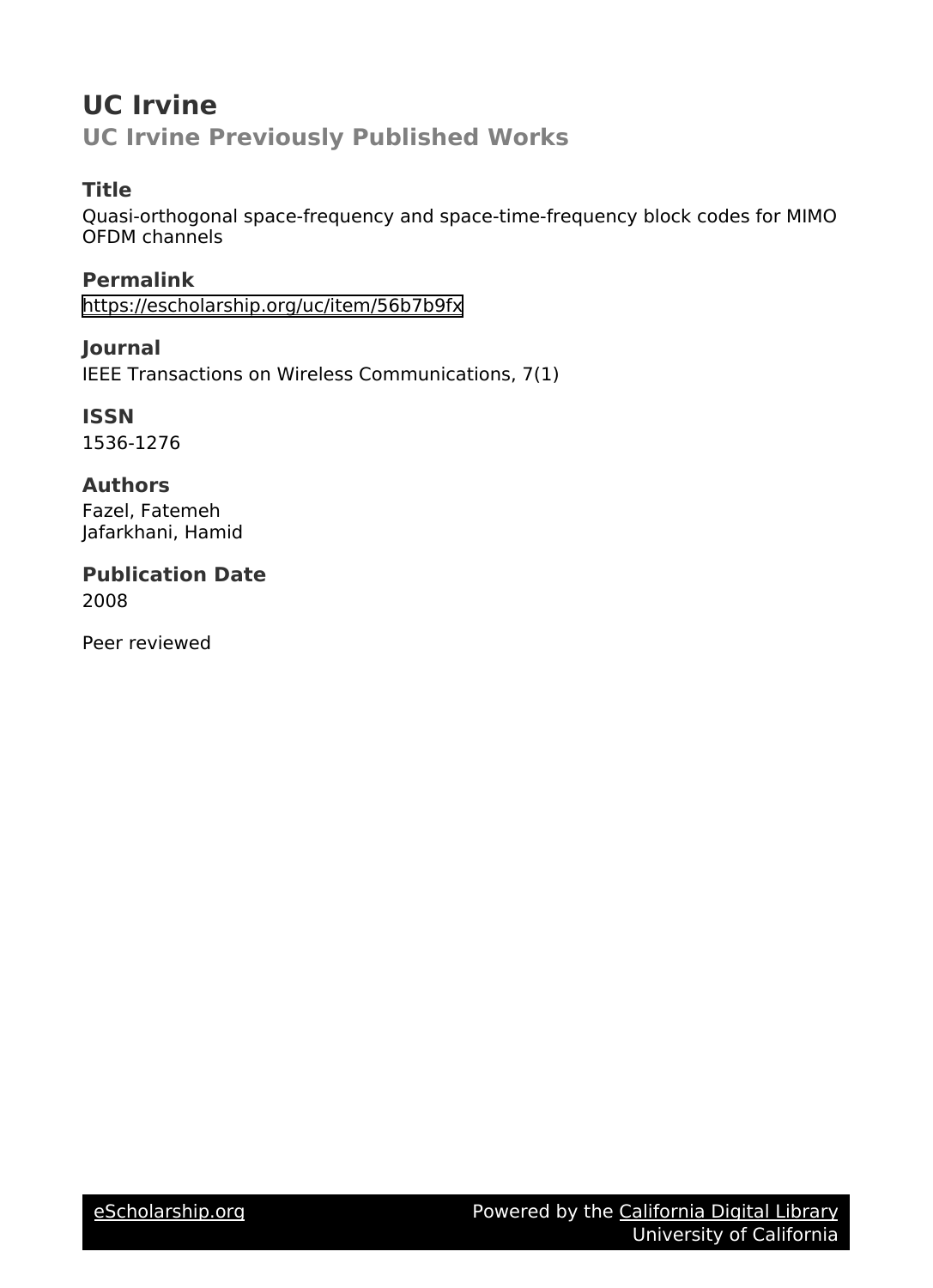## **UC Irvine UC Irvine Previously Published Works**

### **Title**

Quasi-orthogonal space-frequency and space-time-frequency block codes for MIMO OFDM channels

**Permalink** <https://escholarship.org/uc/item/56b7b9fx>

**Journal** IEEE Transactions on Wireless Communications, 7(1)

**ISSN** 1536-1276

**Authors** Fazel, Fatemeh Jafarkhani, Hamid

**Publication Date** 2008

Peer reviewed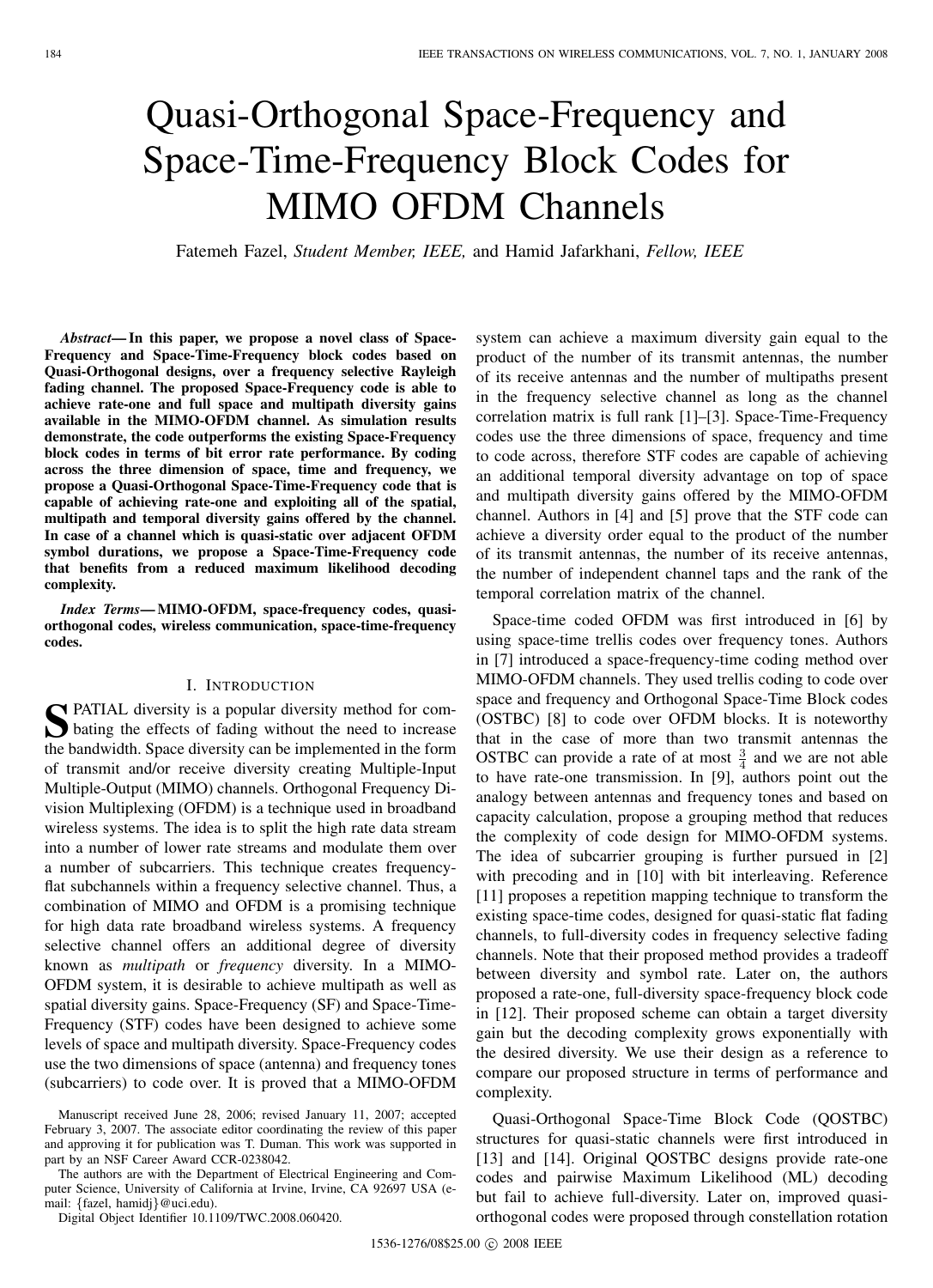# Quasi-Orthogonal Space-Frequency and Space-Time-Frequency Block Codes for MIMO OFDM Channels

Fatemeh Fazel, *Student Member, IEEE,* and Hamid Jafarkhani, *Fellow, IEEE*

*Abstract***— In this paper, we propose a novel class of Space-Frequency and Space-Time-Frequency block codes based on Quasi-Orthogonal designs, over a frequency selective Rayleigh fading channel. The proposed Space-Frequency code is able to achieve rate-one and full space and multipath diversity gains available in the MIMO-OFDM channel. As simulation results demonstrate, the code outperforms the existing Space-Frequency block codes in terms of bit error rate performance. By coding across the three dimension of space, time and frequency, we propose a Quasi-Orthogonal Space-Time-Frequency code that is capable of achieving rate-one and exploiting all of the spatial, multipath and temporal diversity gains offered by the channel. In case of a channel which is quasi-static over adjacent OFDM symbol durations, we propose a Space-Time-Frequency code that benefits from a reduced maximum likelihood decoding complexity.**

*Index Terms***— MIMO-OFDM, space-frequency codes, quasiorthogonal codes, wireless communication, space-time-frequency codes.**

#### I. INTRODUCTION

SPATIAL diversity is a popular diversity method for com-<br>bating the effects of fading without the need to increase the bandwidth. Space diversity can be implemented in the form of transmit and/or receive diversity creating Multiple-Input Multiple-Output (MIMO) channels. Orthogonal Frequency Division Multiplexing (OFDM) is a technique used in broadband wireless systems. The idea is to split the high rate data stream into a number of lower rate streams and modulate them over a number of subcarriers. This technique creates frequencyflat subchannels within a frequency selective channel. Thus, a combination of MIMO and OFDM is a promising technique for high data rate broadband wireless systems. A frequency selective channel offers an additional degree of diversity known as *multipath* or *frequency* diversity. In a MIMO-OFDM system, it is desirable to achieve multipath as well as spatial diversity gains. Space-Frequency (SF) and Space-Time-Frequency (STF) codes have been designed to achieve some levels of space and multipath diversity. Space-Frequency codes use the two dimensions of space (antenna) and frequency tones (subcarriers) to code over. It is proved that a MIMO-OFDM

The authors are with the Department of Electrical Engineering and Computer Science, University of California at Irvine, Irvine, CA 92697 USA (email: {fazel, hamidj}@uci.edu).

Digital Object Identifier 10.1109/TWC.2008.060420.

system can achieve a maximum diversity gain equal to the product of the number of its transmit antennas, the number of its receive antennas and the number of multipaths present in the frequency selective channel as long as the channel correlation matrix is full rank [1]–[3]. Space-Time-Frequency codes use the three dimensions of space, frequency and time to code across, therefore STF codes are capable of achieving an additional temporal diversity advantage on top of space and multipath diversity gains offered by the MIMO-OFDM channel. Authors in [4] and [5] prove that the STF code can achieve a diversity order equal to the product of the number of its transmit antennas, the number of its receive antennas, the number of independent channel taps and the rank of the temporal correlation matrix of the channel.

Space-time coded OFDM was first introduced in [6] by using space-time trellis codes over frequency tones. Authors in [7] introduced a space-frequency-time coding method over MIMO-OFDM channels. They used trellis coding to code over space and frequency and Orthogonal Space-Time Block codes (OSTBC) [8] to code over OFDM blocks. It is noteworthy that in the case of more than two transmit antennas the OSTBC can provide a rate of at most  $\frac{3}{4}$  and we are not able to have rate-one transmission. In [9], authors point out the analogy between antennas and frequency tones and based on capacity calculation, propose a grouping method that reduces the complexity of code design for MIMO-OFDM systems. The idea of subcarrier grouping is further pursued in [2] with precoding and in [10] with bit interleaving. Reference [11] proposes a repetition mapping technique to transform the existing space-time codes, designed for quasi-static flat fading channels, to full-diversity codes in frequency selective fading channels. Note that their proposed method provides a tradeoff between diversity and symbol rate. Later on, the authors proposed a rate-one, full-diversity space-frequency block code in [12]. Their proposed scheme can obtain a target diversity gain but the decoding complexity grows exponentially with the desired diversity. We use their design as a reference to compare our proposed structure in terms of performance and complexity.

Quasi-Orthogonal Space-Time Block Code (QOSTBC) structures for quasi-static channels were first introduced in [13] and [14]. Original QOSTBC designs provide rate-one codes and pairwise Maximum Likelihood (ML) decoding but fail to achieve full-diversity. Later on, improved quasiorthogonal codes were proposed through constellation rotation

Manuscript received June 28, 2006; revised January 11, 2007; accepted February 3, 2007. The associate editor coordinating the review of this paper and approving it for publication was T. Duman. This work was supported in part by an NSF Career Award CCR-0238042.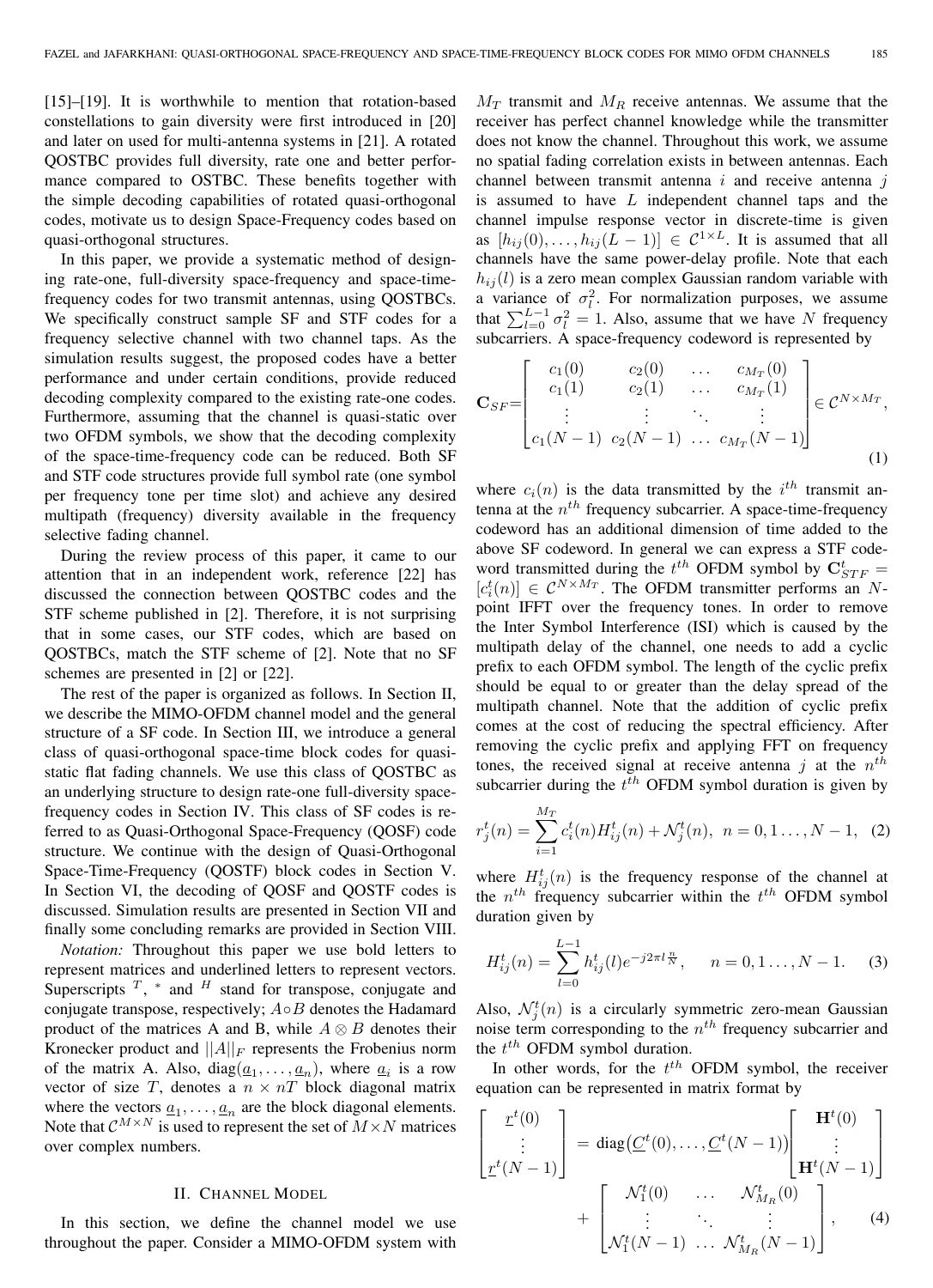[15]–[19]. It is worthwhile to mention that rotation-based constellations to gain diversity were first introduced in [20] and later on used for multi-antenna systems in [21]. A rotated QOSTBC provides full diversity, rate one and better performance compared to OSTBC. These benefits together with the simple decoding capabilities of rotated quasi-orthogonal codes, motivate us to design Space-Frequency codes based on quasi-orthogonal structures.

In this paper, we provide a systematic method of designing rate-one, full-diversity space-frequency and space-timefrequency codes for two transmit antennas, using QOSTBCs. We specifically construct sample SF and STF codes for a frequency selective channel with two channel taps. As the simulation results suggest, the proposed codes have a better performance and under certain conditions, provide reduced decoding complexity compared to the existing rate-one codes. Furthermore, assuming that the channel is quasi-static over two OFDM symbols, we show that the decoding complexity of the space-time-frequency code can be reduced. Both SF and STF code structures provide full symbol rate (one symbol per frequency tone per time slot) and achieve any desired multipath (frequency) diversity available in the frequency selective fading channel.

During the review process of this paper, it came to our attention that in an independent work, reference [22] has discussed the connection between QOSTBC codes and the STF scheme published in [2]. Therefore, it is not surprising that in some cases, our STF codes, which are based on QOSTBCs, match the STF scheme of [2]. Note that no SF schemes are presented in [2] or [22].

The rest of the paper is organized as follows. In Section II, we describe the MIMO-OFDM channel model and the general structure of a SF code. In Section III, we introduce a general class of quasi-orthogonal space-time block codes for quasistatic flat fading channels. We use this class of QOSTBC as an underlying structure to design rate-one full-diversity spacefrequency codes in Section IV. This class of SF codes is referred to as Quasi-Orthogonal Space-Frequency (QOSF) code structure. We continue with the design of Quasi-Orthogonal Space-Time-Frequency (QOSTF) block codes in Section V. In Section VI, the decoding of QOSF and QOSTF codes is discussed. Simulation results are presented in Section VII and finally some concluding remarks are provided in Section VIII.

*Notation:* Throughout this paper we use bold letters to represent matrices and underlined letters to represent vectors. Superscripts  $T$ ,  $*$  and  $H$  stand for transpose, conjugate and conjugate transpose, respectively;  $A \circ B$  denotes the Hadamard product of the matrices A and B, while  $A \otimes B$  denotes their Kronecker product and  $||A||_F$  represents the Frobenius norm of the matrix A. Also,  $diag(\underline{a}_1,\ldots,\underline{a}_n)$ , where  $\underline{a}_i$  is a row vector of size  $T$ , denotes a  $n \times nT$  block diagonal matrix where the vectors  $\underline{a}_1, \ldots, \underline{a}_n$  are the block diagonal elements. Note that  $\mathcal{C}^{M\times N}$  is used to represent the set of  $M\times N$  matrices over complex numbers.

#### II. CHANNEL MODEL

In this section, we define the channel model we use throughout the paper. Consider a MIMO-OFDM system with  $M_T$  transmit and  $M_R$  receive antennas. We assume that the receiver has perfect channel knowledge while the transmitter does not know the channel. Throughout this work, we assume no spatial fading correlation exists in between antennas. Each channel between transmit antenna  $i$  and receive antenna  $j$ is assumed to have  $L$  independent channel taps and the channel impulse response vector in discrete-time is given as  $[h_{ij}(0),...,h_{ij}(L-1)] \in C^{1\times L}$ . It is assumed that all channels have the same power-delay profile. Note that each  $h_{ij}(l)$  is a zero mean complex Gaussian random variable with a variance of  $\sigma_l^2$ . For normalization purposes, we assume that  $\sum_{l=0}^{L-1} \sigma_l^2 = 1$ . Also, assume that we have N frequency subcarriers. A space-frequency codeword is represented by

$$
\mathbf{C}_{SF} = \begin{bmatrix} c_1(0) & c_2(0) & \dots & c_{M_T}(0) \\ c_1(1) & c_2(1) & \dots & c_{M_T}(1) \\ \vdots & \vdots & \ddots & \vdots \\ c_1(N-1) & c_2(N-1) & \dots & c_{M_T}(N-1) \end{bmatrix} \in \mathcal{C}^{N \times M_T},
$$
\n(1)

where  $c_i(n)$  is the data transmitted by the  $i^{th}$  transmit antenna at the  $n^{th}$  frequency subcarrier. A space-time-frequency codeword has an additional dimension of time added to the above SF codeword. In general we can express a STF codeword transmitted during the  $t^{th}$  OFDM symbol by  $\mathbf{C}_{STF}^t =$  $[c<sub>i</sub><sup>t</sup>(n)] \in C<sup>N \times M_T</sup>$ . The OFDM transmitter performs an Npoint IFFT over the frequency tones. In order to remove the Inter Symbol Interference (ISI) which is caused by the multipath delay of the channel, one needs to add a cyclic prefix to each OFDM symbol. The length of the cyclic prefix should be equal to or greater than the delay spread of the multipath channel. Note that the addition of cyclic prefix comes at the cost of reducing the spectral efficiency. After removing the cyclic prefix and applying FFT on frequency tones, the received signal at receive antenna j at the  $n^{th}$ subcarrier during the  $t^{th}$  OFDM symbol duration is given by

$$
r_j^t(n) = \sum_{i=1}^{M_T} c_i^t(n) H_{ij}^t(n) + \mathcal{N}_j^t(n), \ \ n = 0, 1 \dots, N - 1, \ \ (2)
$$

where  $H_{ij}^{t}(n)$  is the frequency response of the channel at the  $n^{th}$  frequency subcarrier within the  $t^{th}$  OFDM symbol duration given by

$$
H_{ij}^t(n) = \sum_{l=0}^{L-1} h_{ij}^t(l) e^{-j2\pi l \frac{n}{N}}, \quad n = 0, 1 \dots, N-1.
$$
 (3)

Also,  $\mathcal{N}_i^t(n)$  is a circularly symmetric zero-mean Gaussian noise term corresponding to the  $n^{th}$  frequency subcarrier and the  $t^{th}$  OFDM symbol duration.

In other words, for the  $t^{th}$  OFDM symbol, the receiver equation can be represented in matrix format by

$$
\begin{bmatrix} \underline{r}^{t}(0) \\ \vdots \\ \underline{r}^{t}(N-1) \end{bmatrix} = \text{diag}(\underline{C}^{t}(0), \dots, \underline{C}^{t}(N-1)) \begin{bmatrix} \mathbf{H}^{t}(0) \\ \vdots \\ \mathbf{H}^{t}(N-1) \end{bmatrix} + \begin{bmatrix} \mathcal{N}_{1}^{t}(0) & \dots & \mathcal{N}_{M_{R}}^{t}(0) \\ \vdots & \ddots & \vdots \\ \mathcal{N}_{1}^{t}(N-1) & \dots & \mathcal{N}_{M_{R}}^{t}(N-1) \end{bmatrix}, \quad (4)
$$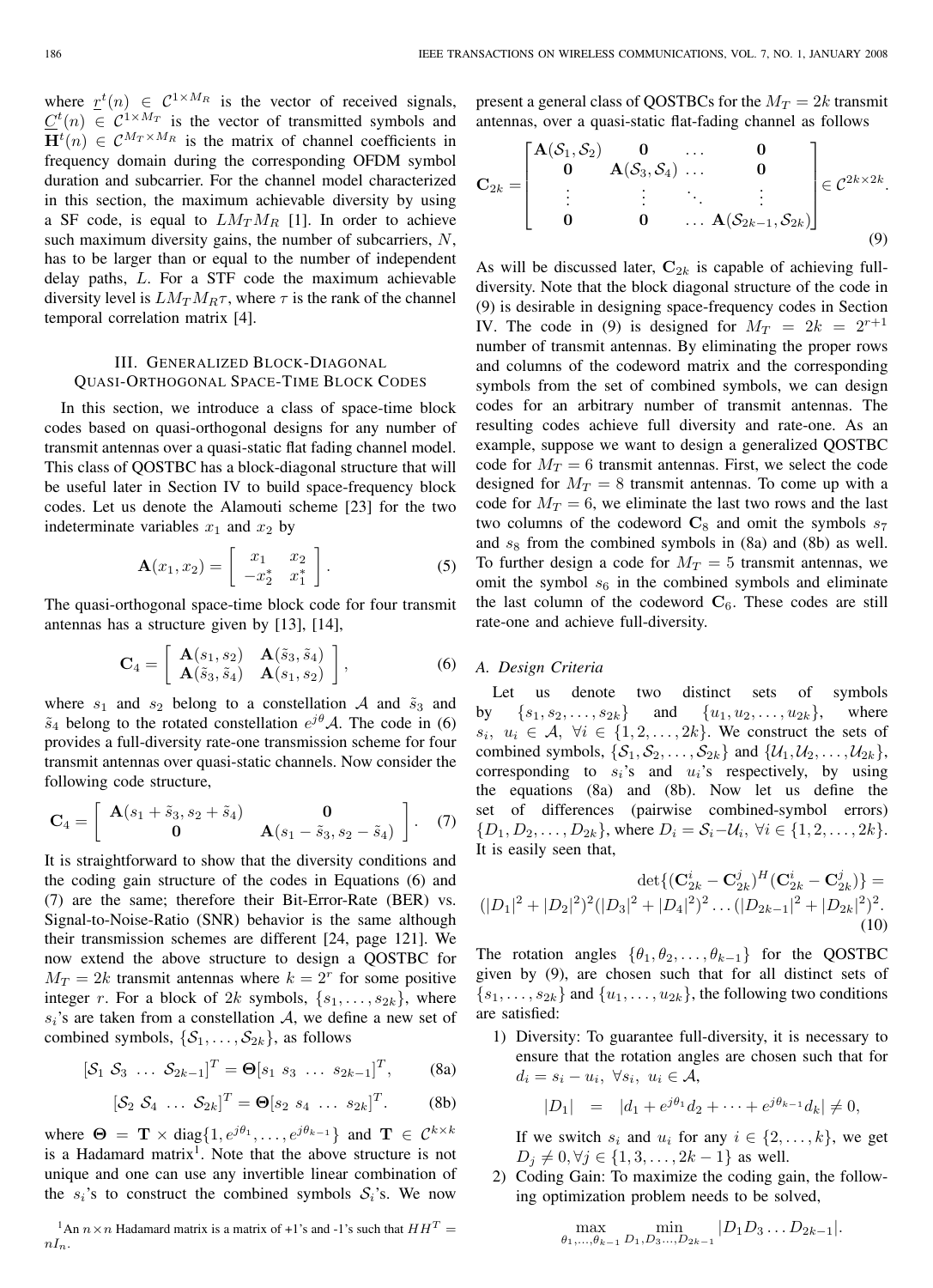where  $r^t(n) \in C^{1 \times M_R}$  is the vector of received signals,  $C^{t}(n) \in C^{1 \times M_T}$  is the vector of transmitted symbols and  $\overline{\mathbf{H}^{t}(n)} \in \mathcal{C}^{M_T \times M_R}$  is the matrix of channel coefficients in frequency domain during the corresponding OFDM symbol duration and subcarrier. For the channel model characterized in this section, the maximum achievable diversity by using a SF code, is equal to  $LM_TM_R$  [1]. In order to achieve such maximum diversity gains, the number of subcarriers, N, has to be larger than or equal to the number of independent delay paths, L. For a STF code the maximum achievable diversity level is  $LM_TM_R\tau$ , where  $\tau$  is the rank of the channel temporal correlation matrix [4].

#### III. GENERALIZED BLOCK-DIAGONAL QUASI-ORTHOGONAL SPACE-TIME BLOCK CODES

In this section, we introduce a class of space-time block codes based on quasi-orthogonal designs for any number of transmit antennas over a quasi-static flat fading channel model. This class of QOSTBC has a block-diagonal structure that will be useful later in Section IV to build space-frequency block codes. Let us denote the Alamouti scheme [23] for the two indeterminate variables  $x_1$  and  $x_2$  by

$$
\mathbf{A}(x_1, x_2) = \begin{bmatrix} x_1 & x_2 \\ -x_2^* & x_1^* \end{bmatrix}.
$$
 (5)

The quasi-orthogonal space-time block code for four transmit antennas has a structure given by [13], [14],

$$
\mathbf{C}_4 = \left[ \begin{array}{cc} \mathbf{A}(s_1, s_2) & \mathbf{A}(\tilde{s}_3, \tilde{s}_4) \\ \mathbf{A}(\tilde{s}_3, \tilde{s}_4) & \mathbf{A}(s_1, s_2) \end{array} \right],
$$
 (6)

where  $s_1$  and  $s_2$  belong to a constellation A and  $\tilde{s}_3$  and  $\tilde{s}_4$  belong to the rotated constellation  $e^{j\theta}$  A. The code in (6) provides a full-diversity rate-one transmission scheme for four transmit antennas over quasi-static channels. Now consider the following code structure,

$$
\mathbf{C}_4 = \left[ \begin{array}{cc} \mathbf{A}(s_1 + \tilde{s}_3, s_2 + \tilde{s}_4) & \mathbf{0} \\ \mathbf{0} & \mathbf{A}(s_1 - \tilde{s}_3, s_2 - \tilde{s}_4) \end{array} \right].
$$
 (7)

It is straightforward to show that the diversity conditions and the coding gain structure of the codes in Equations (6) and (7) are the same; therefore their Bit-Error-Rate (BER) vs. Signal-to-Noise-Ratio (SNR) behavior is the same although their transmission schemes are different [24, page 121]. We now extend the above structure to design a QOSTBC for  $M_T = 2k$  transmit antennas where  $k = 2<sup>r</sup>$  for some positive integer r. For a block of 2k symbols,  $\{s_1, \ldots, s_{2k}\}\,$  where  $s_i$ 's are taken from a constellation A, we define a new set of combined symbols,  $\{S_1, \ldots, S_{2k}\}\$ , as follows

$$
[\mathcal{S}_1 \; \mathcal{S}_3 \; \ldots \; \mathcal{S}_{2k-1}]^T = \mathbf{\Theta}[s_1 \; s_3 \; \ldots \; s_{2k-1}]^T, \qquad (8a)
$$

$$
[\mathcal{S}_2 \; \mathcal{S}_4 \; \ldots \; \mathcal{S}_{2k}]^T = \mathbf{\Theta}[s_2 \; s_4 \; \ldots \; s_{2k}]^T. \tag{8b}
$$

where  $\Theta = \mathbf{T} \times \text{diag}\{1, e^{j\theta_1}, \dots, e^{j\theta_{k-1}}\}$  and  $\mathbf{T} \in C^{k \times k}$ is a Hadamard matrix<sup>1</sup>. Note that the above structure is not unique and one can use any invertible linear combination of the  $s_i$ 's to construct the combined symbols  $S_i$ 's. We now

<sup>1</sup>An  $n \times n$  Hadamard matrix is a matrix of +1's and -1's such that  $HH<sup>T</sup>$  =  $nI_n$ .

present a general class of QOSTBCs for the  $M_T = 2k$  transmit antennas, over a quasi-static flat-fading channel as follows

$$
\mathbf{C}_{2k} = \begin{bmatrix} \mathbf{A}(\mathcal{S}_1, \mathcal{S}_2) & \mathbf{0} & \dots & \mathbf{0} \\ \mathbf{0} & \mathbf{A}(\mathcal{S}_3, \mathcal{S}_4) & \dots & \mathbf{0} \\ \vdots & \vdots & \ddots & \vdots \\ \mathbf{0} & \mathbf{0} & \dots & \mathbf{A}(\mathcal{S}_{2k-1}, \mathcal{S}_{2k}) \end{bmatrix} \in \mathcal{C}^{2k \times 2k}.
$$
\n(9)

As will be discussed later,  $C_{2k}$  is capable of achieving fulldiversity. Note that the block diagonal structure of the code in (9) is desirable in designing space-frequency codes in Section IV. The code in (9) is designed for  $M_T = 2k = 2^{r+1}$ number of transmit antennas. By eliminating the proper rows and columns of the codeword matrix and the corresponding symbols from the set of combined symbols, we can design codes for an arbitrary number of transmit antennas. The resulting codes achieve full diversity and rate-one. As an example, suppose we want to design a generalized QOSTBC code for  $M_T = 6$  transmit antennas. First, we select the code designed for  $M_T = 8$  transmit antennas. To come up with a code for  $M_T = 6$ , we eliminate the last two rows and the last two columns of the codeword  $\mathbf{C}_8$  and omit the symbols  $s_7$ and  $s_8$  from the combined symbols in (8a) and (8b) as well. To further design a code for  $M_T = 5$  transmit antennas, we omit the symbol  $s<sub>6</sub>$  in the combined symbols and eliminate the last column of the codeword  $C_6$ . These codes are still rate-one and achieve full-diversity.

#### *A. Design Criteria*

Let us denote two distinct sets of symbols by  $\{s_1, s_2, \ldots, s_{2k}\}$  and  $\{u_1, u_2, \ldots, u_{2k}\}$ , where  $s_i, u_i \in \mathcal{A}, \forall i \in \{1, 2, ..., 2k\}.$  We construct the sets of combined symbols,  $\{S_1, S_2, \ldots, S_{2k}\}\$  and  $\{\mathcal{U}_1, \mathcal{U}_2, \ldots, \mathcal{U}_{2k}\}\$ , corresponding to  $s_i$ 's and  $u_i$ 's respectively, by using the equations (8a) and (8b). Now let us define the set of differences (pairwise combined-symbol errors)  $\{D_1, D_2, \ldots, D_{2k}\},\$  where  $D_i = S_i - U_i, \forall i \in \{1, 2, \ldots, 2k\}.$ It is easily seen that,

$$
\det\{(\mathbf{C}_{2k}^i - \mathbf{C}_{2k}^j)^H (\mathbf{C}_{2k}^i - \mathbf{C}_{2k}^j)\} =
$$
  

$$
(|D_1|^2 + |D_2|^2)^2 (|D_3|^2 + |D_4|^2)^2 \dots (|D_{2k-1}|^2 + |D_{2k}|^2)^2.
$$
  
(10)

The rotation angles  $\{\theta_1, \theta_2, \dots, \theta_{k-1}\}$  for the QOSTBC given by (9), are chosen such that for all distinct sets of  $\{s_1,\ldots,s_{2k}\}\$  and  $\{u_1,\ldots,u_{2k}\}\$ , the following two conditions are satisfied:

1) Diversity: To guarantee full-diversity, it is necessary to ensure that the rotation angles are chosen such that for  $d_i = s_i - u_i, \ \forall s_i, \ u_i \in \mathcal{A},$ 

$$
|D_1| = |d_1 + e^{j\theta_1} d_2 + \dots + e^{j\theta_{k-1}} d_k| \neq 0,
$$

If we switch  $s_i$  and  $u_i$  for any  $i \in \{2, \ldots, k\}$ , we get  $D_i \neq 0, \forall j \in \{1, 3, ..., 2k - 1\}$  as well.

2) Coding Gain: To maximize the coding gain, the following optimization problem needs to be solved,

$$
\max_{\theta_1,\dots,\theta_{k-1}}\min_{D_1,D_3\dots,D_{2k-1}}|D_1D_3\dots D_{2k-1}|.
$$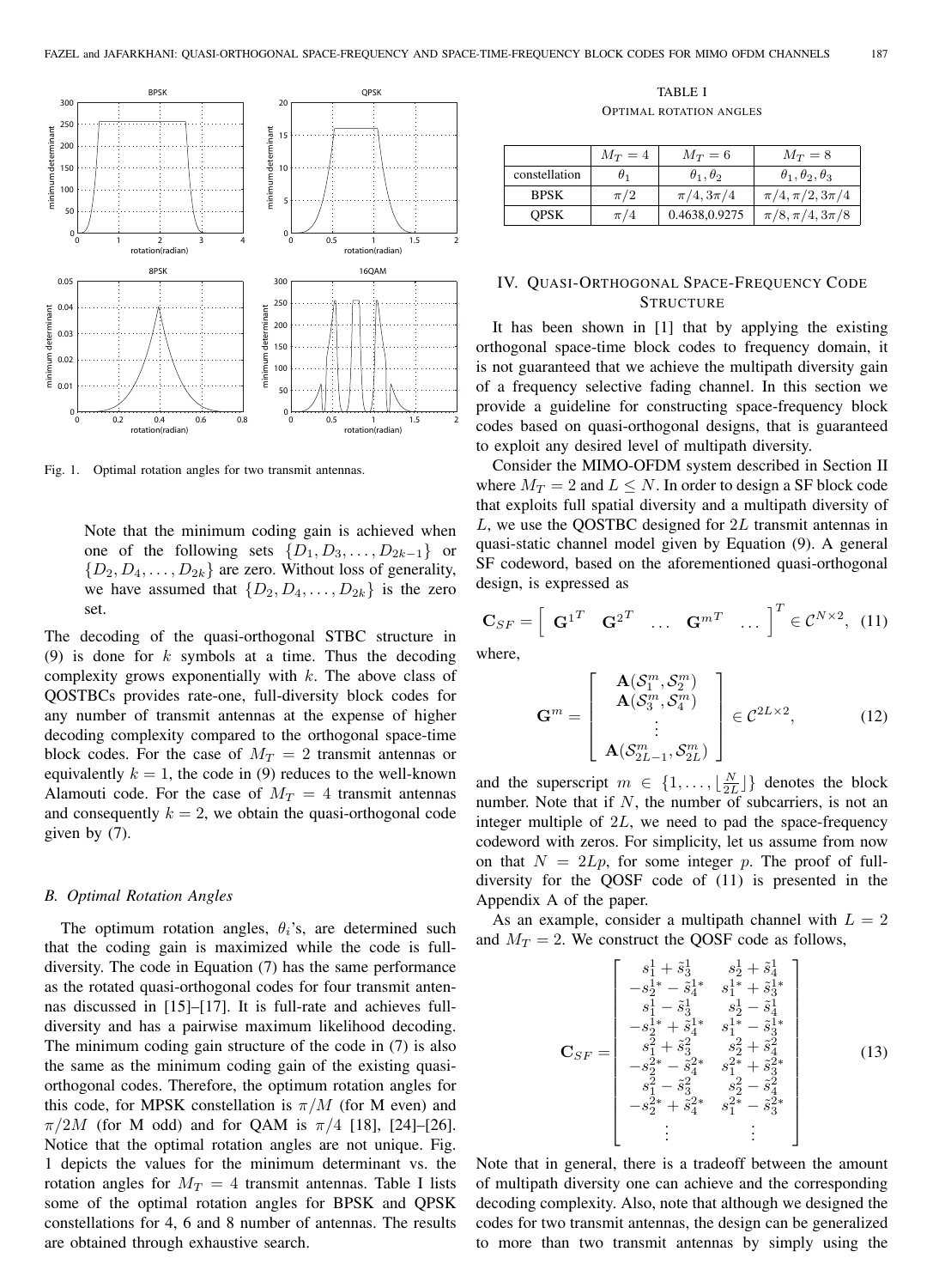

Fig. 1. Optimal rotation angles for two transmit antennas.

Note that the minimum coding gain is achieved when one of the following sets  $\{D_1, D_3, \ldots, D_{2k-1}\}\$  or  ${D_2, D_4, \ldots, D_{2k}}$  are zero. Without loss of generality, we have assumed that  $\{D_2, D_4, \ldots, D_{2k}\}\$ is the zero set.

The decoding of the quasi-orthogonal STBC structure in (9) is done for  $k$  symbols at a time. Thus the decoding complexity grows exponentially with  $k$ . The above class of QOSTBCs provides rate-one, full-diversity block codes for any number of transmit antennas at the expense of higher decoding complexity compared to the orthogonal space-time block codes. For the case of  $M_T = 2$  transmit antennas or equivalently  $k = 1$ , the code in (9) reduces to the well-known Alamouti code. For the case of  $M_T = 4$  transmit antennas and consequently  $k = 2$ , we obtain the quasi-orthogonal code given by (7).

#### *B. Optimal Rotation Angles*

The optimum rotation angles,  $\theta_i$ 's, are determined such that the coding gain is maximized while the code is fulldiversity. The code in Equation (7) has the same performance as the rotated quasi-orthogonal codes for four transmit antennas discussed in [15]–[17]. It is full-rate and achieves fulldiversity and has a pairwise maximum likelihood decoding. The minimum coding gain structure of the code in (7) is also the same as the minimum coding gain of the existing quasiorthogonal codes. Therefore, the optimum rotation angles for this code, for MPSK constellation is  $\pi/M$  (for M even) and  $\pi/2M$  (for M odd) and for QAM is  $\pi/4$  [18], [24]–[26]. Notice that the optimal rotation angles are not unique. Fig. 1 depicts the values for the minimum determinant vs. the rotation angles for  $M_T = 4$  transmit antennas. Table I lists some of the optimal rotation angles for BPSK and QPSK constellations for 4, 6 and 8 number of antennas. The results are obtained through exhaustive search.

TABLE I OPTIMAL ROTATION ANGLES

|               | $M_T=4$    | $M_T=6$                 | $M_T=8$                        |
|---------------|------------|-------------------------|--------------------------------|
| constellation | $\theta_1$ | $\theta_1$ , $\theta_2$ | $\theta_1, \theta_2, \theta_3$ |
| <b>BPSK</b>   | $\pi/2$    | $\pi/4, 3\pi/4$         | $\pi/4, \pi/2, 3\pi/4$         |
| <b>OPSK</b>   | $\pi/4$    | 0.4638,0.9275           | $\pi/8, \pi/4, 3\pi/8$         |

#### IV. QUASI-ORTHOGONAL SPACE-FREQUENCY CODE **STRUCTURE**

It has been shown in [1] that by applying the existing orthogonal space-time block codes to frequency domain, it is not guaranteed that we achieve the multipath diversity gain of a frequency selective fading channel. In this section we provide a guideline for constructing space-frequency block codes based on quasi-orthogonal designs, that is guaranteed to exploit any desired level of multipath diversity.

Consider the MIMO-OFDM system described in Section II where  $M_T = 2$  and  $L \leq N$ . In order to design a SF block code that exploits full spatial diversity and a multipath diversity of L, we use the QOSTBC designed for 2L transmit antennas in quasi-static channel model given by Equation (9). A general SF codeword, based on the aforementioned quasi-orthogonal design, is expressed as

$$
\mathbf{C}_{SF} = \left[ \begin{array}{cccc} \mathbf{G}^{1T} & \mathbf{G}^{2T} & \dots & \mathbf{G}^{mT} & \dots \end{array} \right]^T \in \mathcal{C}^{N \times 2}, \quad (11)
$$

where,

$$
\mathbf{G}^{m} = \begin{bmatrix} \mathbf{A}(\mathcal{S}_{1}^{m}, \mathcal{S}_{2}^{m}) \\ \mathbf{A}(\mathcal{S}_{3}^{m}, \mathcal{S}_{4}^{m}) \\ \vdots \\ \mathbf{A}(\mathcal{S}_{2L-1}^{m}, \mathcal{S}_{2L}^{m}) \end{bmatrix} \in \mathcal{C}^{2L \times 2},
$$
(12)

and the superscript  $m \in \{1, \ldots, \lfloor \frac{N}{2L} \rfloor\}$  denotes the block number. Note that if  $N$ , the number of subcarriers, is not an integer multiple of 2L, we need to pad the space-frequency codeword with zeros. For simplicity, let us assume from now on that  $N = 2Lp$ , for some integer p. The proof of fulldiversity for the QOSF code of (11) is presented in the Appendix A of the paper.

As an example, consider a multipath channel with  $L = 2$ and  $M_T = 2$ . We construct the QOSF code as follows,

$$
\mathbf{C}_{SF} = \begin{bmatrix} s_1^1 + \tilde{s}_3^1 & s_2^1 + \tilde{s}_4^1 \\ -s_2^{1*} - \tilde{s}_4^{1*} & s_1^{1*} + \tilde{s}_3^{1*} \\ s_1^1 - \tilde{s}_3^1 & s_2^1 - \tilde{s}_4^1 \\ -s_2^{1*} + \tilde{s}_4^{1*} & s_1^{1*} - \tilde{s}_3^{1*} \\ -s_2^{1*} + \tilde{s}_4^{2*} & s_2^2 + \tilde{s}_4^{2*} \\ -s_2^{2*} - \tilde{s}_4^{2*} & s_1^{2*} + \tilde{s}_3^{2*} \\ s_1^2 - \tilde{s}_3^2 & s_2^2 - \tilde{s}_4^2 \\ -s_2^{2*} + \tilde{s}_4^{2*} & s_1^{2*} - \tilde{s}_3^{2*} \\ -s_2^{2*} + \tilde{s}_4^{2*} & s_1^{2*} - \tilde{s}_3^{2*} \\ \vdots & \vdots & \vdots \end{bmatrix} \tag{13}
$$

Note that in general, there is a tradeoff between the amount of multipath diversity one can achieve and the corresponding decoding complexity. Also, note that although we designed the codes for two transmit antennas, the design can be generalized to more than two transmit antennas by simply using the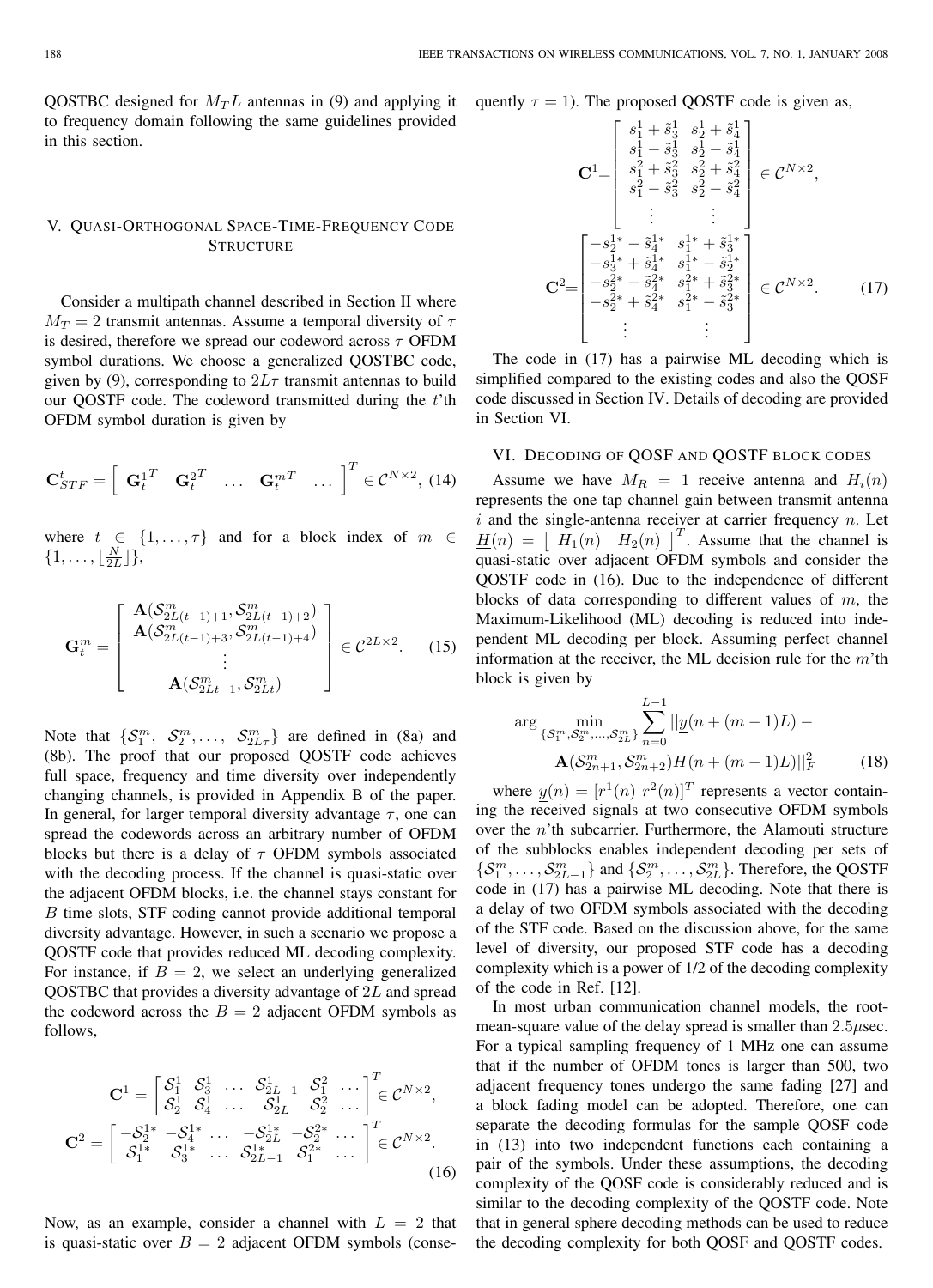QOSTBC designed for  $M_T L$  antennas in (9) and applying it to frequency domain following the same guidelines provided in this section.

#### V. QUASI-ORTHOGONAL SPACE-TIME-FREQUENCY CODE **STRUCTURE**

Consider a multipath channel described in Section II where  $M_T = 2$  transmit antennas. Assume a temporal diversity of  $\tau$ is desired, therefore we spread our codeword across  $\tau$  OFDM symbol durations. We choose a generalized QOSTBC code, given by (9), corresponding to  $2L\tau$  transmit antennas to build our QOSTF code. The codeword transmitted during the t'th OFDM symbol duration is given by

$$
\mathbf{C}_{STF}^t = \left[ \begin{array}{cccc} \mathbf{G}_t^{1T} & \mathbf{G}_t^{2T} & \dots & \mathbf{G}_t^{mT} & \dots \end{array} \right]^T \in \mathcal{C}^{N \times 2}, \ (14)
$$

where  $t \in \{1, \ldots, \tau\}$  and for a block index of  $m \in$  $\{1,\ldots,\lfloor\frac{N}{2L}\rfloor\},$ 

$$
\mathbf{G}_{t}^{m} = \begin{bmatrix} \mathbf{A}(\mathcal{S}_{2L(t-1)+1}^{m}, \mathcal{S}_{2L(t-1)+2}^{m}) \\ \mathbf{A}(\mathcal{S}_{2L(t-1)+3}^{m}, \mathcal{S}_{2L(t-1)+4}^{m}) \\ \vdots \\ \mathbf{A}(\mathcal{S}_{2Lt-1}^{m}, \mathcal{S}_{2Lt}^{m}) \end{bmatrix} \in \mathcal{C}^{2L \times 2}.
$$
 (15)

Note that  $\{S_1^m, S_2^m, \ldots, S_{2L\tau}^m\}$  are defined in (8a) and (8b). The proof that our proposed QOSTF code achieves full space, frequency and time diversity over independently changing channels, is provided in Appendix B of the paper. In general, for larger temporal diversity advantage  $\tau$ , one can spread the codewords across an arbitrary number of OFDM blocks but there is a delay of  $\tau$  OFDM symbols associated with the decoding process. If the channel is quasi-static over the adjacent OFDM blocks, i.e. the channel stays constant for B time slots, STF coding cannot provide additional temporal diversity advantage. However, in such a scenario we propose a QOSTF code that provides reduced ML decoding complexity. For instance, if  $B = 2$ , we select an underlying generalized QOSTBC that provides a diversity advantage of 2L and spread the codeword across the  $B = 2$  adjacent OFDM symbols as follows,

$$
\mathbf{C}^{1} = \begin{bmatrix} S_{1}^{1} & S_{3}^{1} & \dots & S_{2L-1}^{1} & S_{1}^{2} & \dots \\ S_{2}^{1} & S_{4}^{1} & \dots & S_{2L}^{1} & S_{2}^{2} & \dots \end{bmatrix}^{T} \in \mathcal{C}^{N \times 2},
$$

$$
\mathbf{C}^{2} = \begin{bmatrix} -S_{2}^{1*} & -S_{4}^{1*} & \dots & -S_{2L}^{1*} & -S_{2}^{2*} & \dots \\ S_{1}^{1*} & S_{3}^{1*} & \dots & S_{2L-1}^{1*} & S_{1}^{2*} & \dots \end{bmatrix}^{T} \in \mathcal{C}^{N \times 2}.
$$
(16)

Now, as an example, consider a channel with  $L = 2$  that is quasi-static over  $B = 2$  adjacent OFDM symbols (conse-

quently 
$$
\tau = 1
$$
). The proposed QOSTF code is given as,

$$
\mathbf{C}^{1} = \begin{bmatrix} s_1^1 + \tilde{s}_3^1 & s_2^1 + \tilde{s}_4^1 \\ s_1^1 - \tilde{s}_3^1 & s_2^1 - \tilde{s}_4^1 \\ s_1^2 + \tilde{s}_3^2 & s_2^2 + \tilde{s}_4^2 \\ s_1^2 - \tilde{s}_3^2 & s_2^2 - \tilde{s}_4^2 \\ \vdots & \vdots \\ s_3^3 + \tilde{s}_4^1 & s_1^1 + \tilde{s}_3^1 \\ -s_3^1 * + \tilde{s}_4^1 * s_1^1 - \tilde{s}_2^1 * \\ -s_2^2 * - \tilde{s}_4^2 * s_1^2 * \tilde{s}_3^2 \\ -s_2^2 * \tilde{s}_4^2 * s_1^2 * \tilde{s}_3^2 \\ \vdots & \vdots \end{bmatrix} \in \mathcal{C}^{N \times 2}.
$$
 (17)

The code in (17) has a pairwise ML decoding which is simplified compared to the existing codes and also the QOSF code discussed in Section IV. Details of decoding are provided in Section VI.

#### VI. DECODING OF QOSF AND QOSTF BLOCK CODES

Assume we have  $M_R = 1$  receive antenna and  $H_i(n)$ represents the one tap channel gain between transmit antenna  $i$  and the single-antenna receiver at carrier frequency  $n$ . Let  $\underline{H}(n) = \begin{bmatrix} H_1(n) & H_2(n) \end{bmatrix}^T$ . Assume that the channel is quasi-static over adjacent OFDM symbols and consider the QOSTF code in (16). Due to the independence of different blocks of data corresponding to different values of  $m$ , the Maximum-Likelihood (ML) decoding is reduced into independent ML decoding per block. Assuming perfect channel information at the receiver, the ML decision rule for the  $m$ 'th block is given by

$$
\arg\min_{\{S_1^m, S_2^m, \dots, S_{2L}^m\}} \sum_{n=0}^{L-1} ||\underline{y}(n + (m-1)L) - \mathbf{A}(S_{2n+1}^m, S_{2n+2}^m) \underline{H}(n + (m-1)L)||_F^2 \tag{18}
$$

where  $y(n)=[r^1(n)$   $r^2(n)]^T$  represents a vector containing the received signals at two consecutive OFDM symbols over the n'th subcarrier. Furthermore, the Alamouti structure of the subblocks enables independent decoding per sets of  $\{\mathcal{S}_1^m, \ldots, \mathcal{S}_{2L-1}^m\}$  and  $\{\mathcal{S}_2^m, \ldots, \mathcal{S}_{2L}^m\}$ . Therefore, the QOSTF code in (17) has a pairwise ML decoding. Note that there is a delay of two OFDM symbols associated with the decoding of the STF code. Based on the discussion above, for the same level of diversity, our proposed STF code has a decoding complexity which is a power of 1/2 of the decoding complexity of the code in Ref. [12].

In most urban communication channel models, the rootmean-square value of the delay spread is smaller than  $2.5\mu$ sec. For a typical sampling frequency of 1 MHz one can assume that if the number of OFDM tones is larger than 500, two adjacent frequency tones undergo the same fading [27] and a block fading model can be adopted. Therefore, one can separate the decoding formulas for the sample QOSF code in (13) into two independent functions each containing a pair of the symbols. Under these assumptions, the decoding complexity of the QOSF code is considerably reduced and is similar to the decoding complexity of the QOSTF code. Note that in general sphere decoding methods can be used to reduce the decoding complexity for both QOSF and QOSTF codes.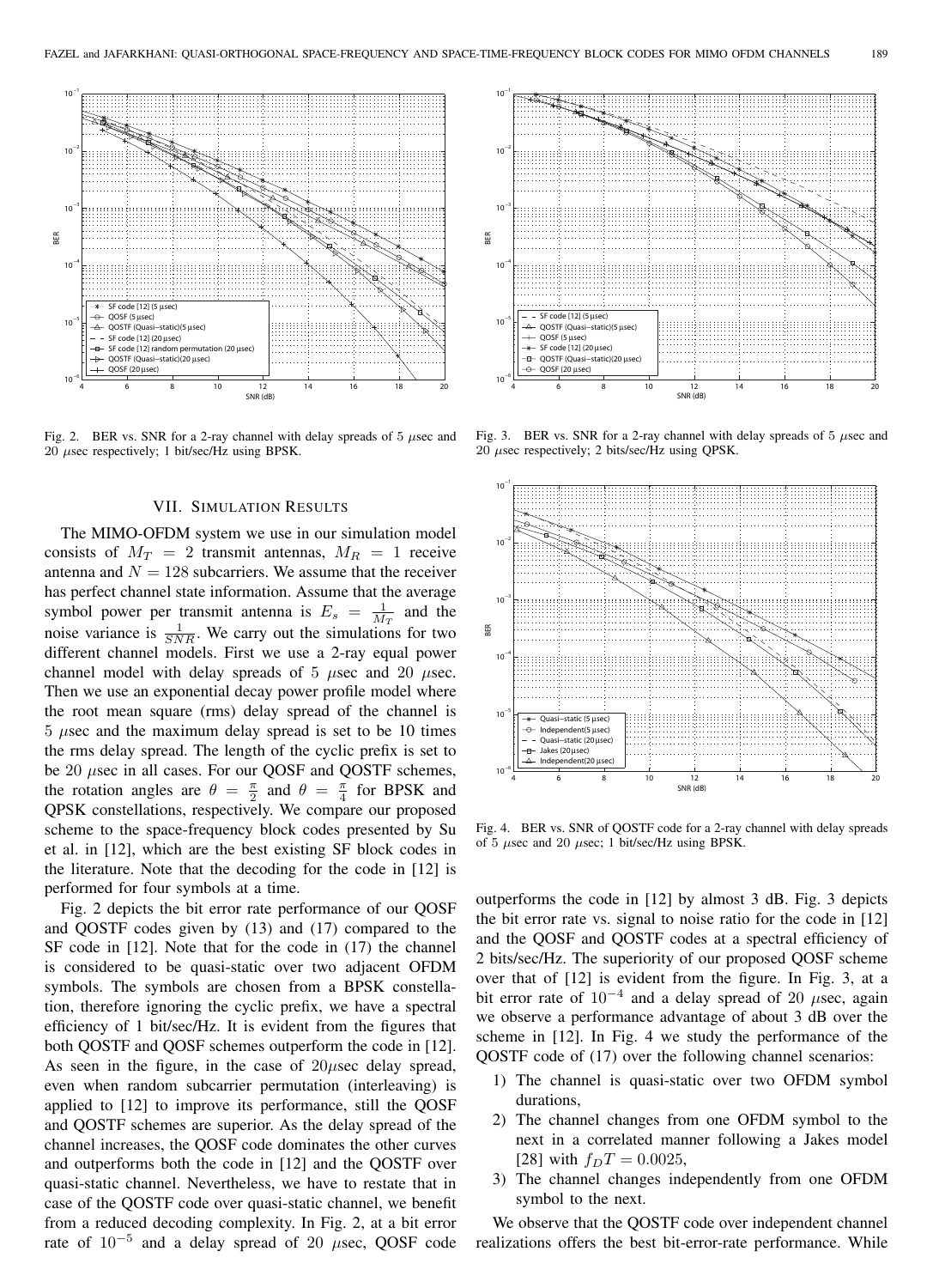

Fig. 2. BER vs. SNR for a 2-ray channel with delay spreads of 5  $\mu$ sec and 20  $\mu$ sec respectively; 1 bit/sec/Hz using BPSK.

#### VII. SIMULATION RESULTS

The MIMO-OFDM system we use in our simulation model consists of  $M_T = 2$  transmit antennas,  $M_R = 1$  receive antenna and  $N = 128$  subcarriers. We assume that the receiver has perfect channel state information. Assume that the average symbol power per transmit antenna is  $E_s = \frac{1}{M_T}$  and the noise variance is  $\frac{1}{SNR}$ . We carry out the simulations for two different channel models. First we use a 2-ray equal power channel model with delay spreads of 5  $\mu$ sec and 20  $\mu$ sec. Then we use an exponential decay power profile model where the root mean square (rms) delay spread of the channel is  $5 \mu$ sec and the maximum delay spread is set to be 10 times the rms delay spread. The length of the cyclic prefix is set to be 20 μsec in all cases. For our QOSF and QOSTF schemes, the rotation angles are  $\theta = \frac{\pi}{2}$  and  $\theta = \frac{\pi}{4}$  for BPSK and QPSK constellations, respectively. We compare our proposed scheme to the space-frequency block codes presented by Su et al. in [12], which are the best existing SF block codes in the literature. Note that the decoding for the code in [12] is performed for four symbols at a time.

Fig. 2 depicts the bit error rate performance of our QOSF and QOSTF codes given by (13) and (17) compared to the SF code in [12]. Note that for the code in (17) the channel is considered to be quasi-static over two adjacent OFDM symbols. The symbols are chosen from a BPSK constellation, therefore ignoring the cyclic prefix, we have a spectral efficiency of 1 bit/sec/Hz. It is evident from the figures that both QOSTF and QOSF schemes outperform the code in [12]. As seen in the figure, in the case of  $20\mu$ sec delay spread, even when random subcarrier permutation (interleaving) is applied to [12] to improve its performance, still the QOSF and QOSTF schemes are superior. As the delay spread of the channel increases, the QOSF code dominates the other curves and outperforms both the code in [12] and the QOSTF over quasi-static channel. Nevertheless, we have to restate that in case of the QOSTF code over quasi-static channel, we benefit from a reduced decoding complexity. In Fig. 2, at a bit error rate of  $10^{-5}$  and a delay spread of 20 μsec, QOSF code



Fig. 3. BER vs. SNR for a 2-ray channel with delay spreads of  $5 \mu$ sec and  $20 \mu$ sec respectively; 2 bits/sec/Hz using QPSK.



Fig. 4. BER vs. SNR of QOSTF code for a 2-ray channel with delay spreads of 5  $\mu$ sec and 20  $\mu$ sec; 1 bit/sec/Hz using BPSK.

outperforms the code in [12] by almost 3 dB. Fig. 3 depicts the bit error rate vs. signal to noise ratio for the code in [12] and the QOSF and QOSTF codes at a spectral efficiency of 2 bits/sec/Hz. The superiority of our proposed QOSF scheme over that of [12] is evident from the figure. In Fig. 3, at a bit error rate of  $10^{-4}$  and a delay spread of 20 μsec, again we observe a performance advantage of about 3 dB over the scheme in [12]. In Fig. 4 we study the performance of the QOSTF code of (17) over the following channel scenarios:

- 1) The channel is quasi-static over two OFDM symbol durations,
- 2) The channel changes from one OFDM symbol to the next in a correlated manner following a Jakes model [28] with  $f_D T = 0.0025$ ,
- 3) The channel changes independently from one OFDM symbol to the next.

We observe that the QOSTF code over independent channel realizations offers the best bit-error-rate performance. While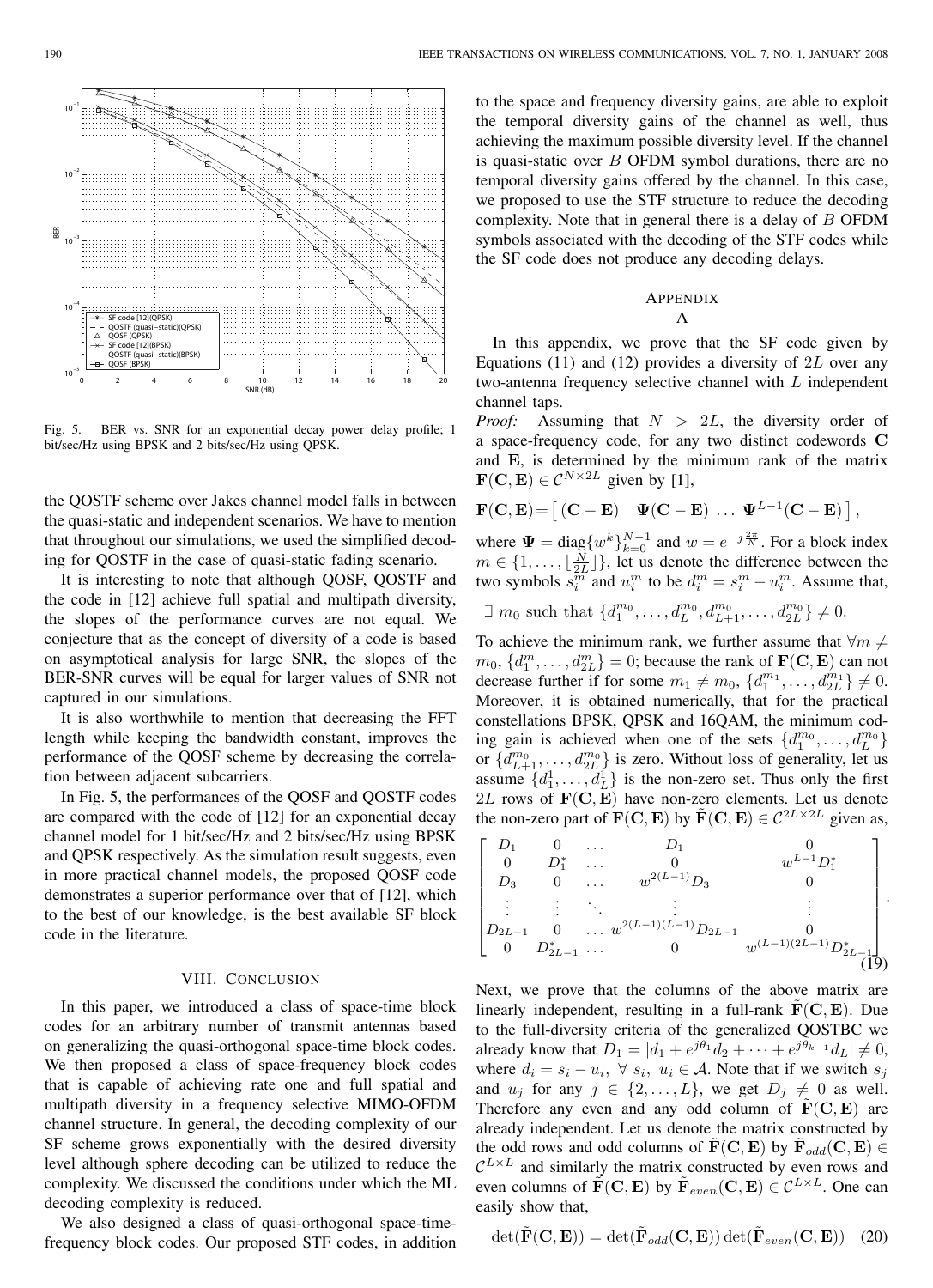

the QOSTF scheme over Jakes channel model falls in between the quasi-static and independent scenarios. We have to mention that throughout our simulations, we used the simplified decoding for QOSTF in the case of quasi-static fading scenario.

It is interesting to note that although QOSF, QOSTF and the code in [12] achieve full spatial and multipath diversity, the slopes of the performance curves are not equal. We conjecture that as the concept of diversity of a code is based on asymptotical analysis for large SNR, the slopes of the BER-SNR curves will be equal for larger values of SNR not captured in our simulations.

It is also worthwhile to mention that decreasing the FFT length while keeping the bandwidth constant, improves the performance of the QOSF scheme by decreasing the correlation between adjacent subcarriers.

In Fig. 5, the performances of the QOSF and QOSTF codes are compared with the code of [12] for an exponential decay channel model for 1 bit/sec/Hz and 2 bits/sec/Hz using BPSK and QPSK respectively. As the simulation result suggests, even in more practical channel models, the proposed QOSF code demonstrates a superior performance over that of [12], which to the best of our knowledge, is the best available SF block code in the literature.

#### VIII. CONCLUSION

In this paper, we introduced a class of space-time block codes for an arbitrary number of transmit antennas based on generalizing the quasi-orthogonal space-time block codes. We then proposed a class of space-frequency block codes that is capable of achieving rate one and full spatial and multipath diversity in a frequency selective MIMO-OFDM channel structure. In general, the decoding complexity of our SF scheme grows exponentially with the desired diversity level although sphere decoding can be utilized to reduce the complexity. We discussed the conditions under which the ML decoding complexity is reduced.

We also designed a class of quasi-orthogonal space-timefrequency block codes. Our proposed STF codes, in addition to the space and frequency diversity gains, are able to exploit the temporal diversity gains of the channel as well, thus achieving the maximum possible diversity level. If the channel is quasi-static over  $B$  OFDM symbol durations, there are no temporal diversity gains offered by the channel. In this case, we proposed to use the STF structure to reduce the decoding complexity. Note that in general there is a delay of B OFDM symbols associated with the decoding of the STF codes while the SF code does not produce any decoding delays.

#### **APPENDIX** A

In this appendix, we prove that the SF code given by Equations (11) and (12) provides a diversity of  $2L$  over any two-antenna frequency selective channel with L independent channel taps.

*Proof:* Assuming that  $N > 2L$ , the diversity order of a space-frequency code, for any two distinct codewords **C** and **E**, is determined by the minimum rank of the matrix  $\mathbf{F}(\mathbf{C}, \mathbf{E}) \in \mathcal{C}^{N \times 2L}$  given by [1],

$$
\mathbf{F}(\mathbf{C}, \mathbf{E}) = [(\mathbf{C} - \mathbf{E}) \quad \Psi(\mathbf{C} - \mathbf{E}) \ \dots \ \Psi^{L-1}(\mathbf{C} - \mathbf{E})],
$$

where  $\Psi = \text{diag}\{w^k\}_{k=0}^{N-1}$  and  $w = e^{-j\frac{2\pi}{N}}$ . For a block index  $m \in \{1, \ldots, \lfloor \frac{N}{2L} \rfloor\}$ , let us denote the difference between the two symbols  $s_i^m$  and  $u_i^m$  to be  $d_i^m = s_i^m - u_i^m$ . Assume that,

 $\exists m_0 \text{ such that } \{d_1^{m_0}, \ldots, d_L^{m_0}, d_{L+1}^{m_0}, \ldots, d_{2L}^{m_0}\} \neq 0.$ 

To achieve the minimum rank, we further assume that  $\forall m \neq$  $m_0, \{d_1^m, \ldots, d_{2L}^m\} = 0$ ; because the rank of  $\mathbf{F}(\mathbf{C}, \mathbf{E})$  can not decrease further if for some  $m_1 \neq m_0$ ,  $\{d_1^{m_1}, \ldots, d_{2L}^{m_1}\} \neq 0$ . Moreover, it is obtained numerically, that for the practical constellations BPSK, QPSK and 16QAM, the minimum coding gain is achieved when one of the sets  $\{d_1^{m_0}, \ldots, d_L^{m_0}\}$ or  $\{d_{L+1}^{m_0},...,d_{2L}^{m_0}\}$  is zero. Without loss of generality, let us assume  $\{d_1^1, \ldots, d_L^1\}$  is the non-zero set. Thus only the first 2L rows of **F**(**C**, **E**) have non-zero elements. Let us denote the non-zero part of  $\mathbf{F}(\mathbf{C}, \mathbf{E})$  by  $\tilde{\mathbf{F}}(\mathbf{C}, \mathbf{E}) \in C^{2L \times 2L}$  given as,

$$
\begin{bmatrix} D_1 & 0 & \dots & D_1 & 0 \\ 0 & D_1^* & \dots & 0 & w^{L-1}D_1^* \\ D_3 & 0 & \dots & w^{2(L-1)}D_3 & 0 \\ \vdots & \vdots & \ddots & \vdots & \vdots \\ D_{2L-1} & 0 & \dots & w^{2(L-1)(L-1)}D_{2L-1} & 0 \\ 0 & D_{2L-1}^* & \dots & 0 & w^{(L-1)(2L-1)}D_{2L-1}^* \end{bmatrix}.
$$

Next, we prove that the columns of the above matrix are linearly independent, resulting in a full-rank  $F(C, E)$ . Due to the full-diversity criteria of the generalized QOSTBC we already know that  $D_1 = |d_1 + e^{j\theta_1} d_2 + \cdots + e^{j\theta_{k-1}} d_L| \neq 0$ , where  $d_i = s_i - u_i$ ,  $\forall s_i, u_i \in \mathcal{A}$ . Note that if we switch  $s_j$ and  $u_j$  for any  $j \in \{2,\ldots,L\}$ , we get  $D_j \neq 0$  as well. Therefore any even and any odd column of  $F(C, E)$  are already independent. Let us denote the matrix constructed by the odd rows and odd columns of  $\tilde{F}(\mathbf{C}, \mathbf{E})$  by  $\tilde{F}_{odd}(\mathbf{C}, \mathbf{E}) \in$  $\mathcal{C}^{L\times L}$  and similarly the matrix constructed by even rows and even columns of  $\tilde{F}(\mathbf{C}, \mathbf{E})$  by  $\tilde{F}_{even}(\mathbf{C}, \mathbf{E}) \in \mathcal{C}^{L \times L}$ . One can easily show that,

$$
\det(\tilde{\mathbf{F}}(\mathbf{C}, \mathbf{E})) = \det(\tilde{\mathbf{F}}_{odd}(\mathbf{C}, \mathbf{E})) \det(\tilde{\mathbf{F}}_{even}(\mathbf{C}, \mathbf{E})) \quad (20)
$$

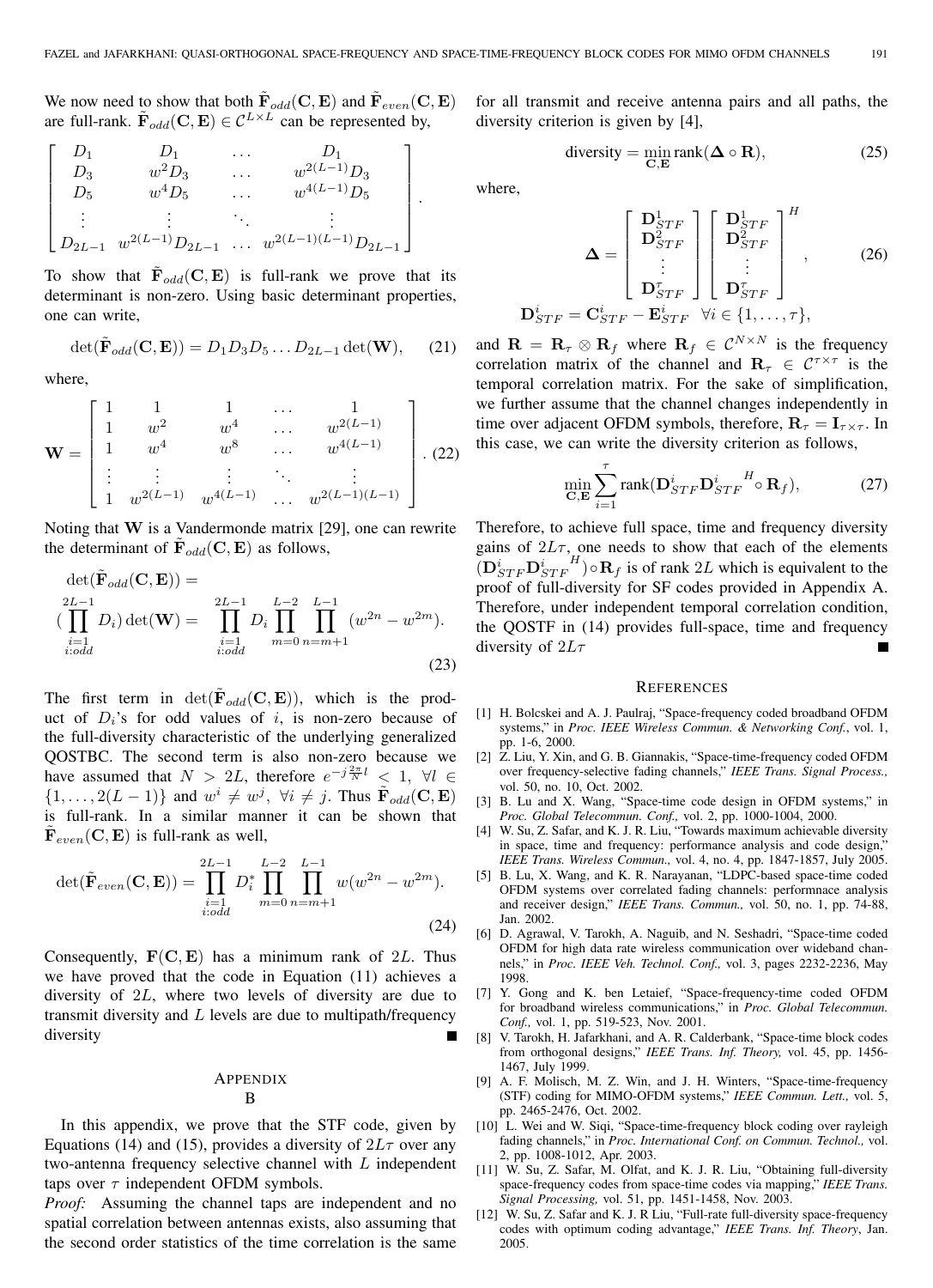We now need to show that both  $\tilde{\mathbf{F}}_{odd}(\mathbf{C}, \mathbf{E})$  and  $\tilde{\mathbf{F}}_{even}(\mathbf{C}, \mathbf{E})$ are full-rank.  $\tilde{\mathbf{F}}_{odd}(\mathbf{C}, \mathbf{E}) \in \mathcal{C}^{L \times L}$  can be represented by,

$$
\begin{bmatrix} D_1 & D_1 & \dots & D_1 \\ D_3 & w^2 D_3 & \dots & w^{2(L-1)} D_3 \\ D_5 & w^4 D_5 & \dots & w^{4(L-1)} D_5 \\ \vdots & \vdots & \ddots & \vdots \\ D_{2L-1} & w^{2(L-1)} D_{2L-1} & \dots & w^{2(L-1)(L-1)} D_{2L-1} \end{bmatrix}.
$$

To show that  $\mathbf{F}_{odd}(\mathbf{C}, \mathbf{E})$  is full-rank we prove that its determinant is non-zero. Using basic determinant properties, one can write,

$$
\det(\tilde{\mathbf{F}}_{odd}(\mathbf{C}, \mathbf{E})) = D_1 D_3 D_5 \dots D_{2L-1} \det(\mathbf{W}), \quad (21)
$$

where,

$$
\mathbf{W} = \begin{bmatrix} 1 & 1 & 1 & \cdots & 1 \\ 1 & w^2 & w^4 & \cdots & w^{2(L-1)} \\ 1 & w^4 & w^8 & \cdots & w^{4(L-1)} \\ \vdots & \vdots & \vdots & \ddots & \vdots \\ 1 & w^{2(L-1)} & w^{4(L-1)} & \cdots & w^{2(L-1)(L-1)} \end{bmatrix} . (22)
$$

Noting that **W** is a Vandermonde matrix [29], one can rewrite the determinant of  $\mathbf{F}_{odd}(\mathbf{C}, \mathbf{E})$  as follows,

$$
\det(\tilde{\mathbf{F}}_{odd}(\mathbf{C}, \mathbf{E})) = \prod_{\substack{2L-1 \\ i \equiv 1 \\ i: odd}}^{2L-1} D_i) \det(\mathbf{W}) = \prod_{\substack{i=1 \\ i: odd}}^{2L-1} D_i \prod_{m=0}^{L-2} \prod_{n=m+1}^{L-1} (w^{2n} - w^{2m}).
$$
\n(23)

The first term in  $\det(\mathbf{F}_{odd}(\mathbf{C}, \mathbf{E}))$ , which is the product of  $D_i$ 's for odd values of i, is non-zero because of the full-diversity characteristic of the underlying generalized QOSTBC. The second term is also non-zero because we have assumed that  $N > 2L$ , therefore  $e^{-j\frac{2\pi}{N}l} < 1$ ,  $\forall l \in$  $\{1,\ldots,2(L-1)\}\$  and  $w^i \neq w^j$ ,  $\forall i \neq j$ . Thus  $\tilde{\mathbf{F}}_{odd}(\mathbf{C}, \mathbf{E})$ is full-rank. In a similar manner it can be shown that  $\mathbf{F}_{even}(\mathbf{C}, \mathbf{E})$  is full-rank as well,

$$
\det(\tilde{\mathbf{F}}_{even}(\mathbf{C}, \mathbf{E})) = \prod_{\substack{i=1 \ i \text{ odd}}}^{2L-1} D_i^* \prod_{m=0}^{L-2} \prod_{n=m+1}^{L-1} w(w^{2n} - w^{2m}).
$$
\n(24)

Consequently,  $F(C, E)$  has a minimum rank of 2L. Thus we have proved that the code in Equation (11) achieves a diversity of 2L, where two levels of diversity are due to transmit diversity and  $L$  levels are due to multipath/frequency diversity

#### APPENDIX B

In this appendix, we prove that the STF code, given by Equations (14) and (15), provides a diversity of  $2L\tau$  over any two-antenna frequency selective channel with L independent taps over  $\tau$  independent OFDM symbols.

*Proof:* Assuming the channel taps are independent and no spatial correlation between antennas exists, also assuming that the second order statistics of the time correlation is the same for all transmit and receive antenna pairs and all paths, the diversity criterion is given by [4],

$$
diversity = \min_{\mathbf{C}, \mathbf{E}} rank(\mathbf{\Delta} \circ \mathbf{R}), \tag{25}
$$

where,

$$
\mathbf{\Delta} = \begin{bmatrix} \mathbf{D}_{STF}^1 \\ \mathbf{D}_{STF}^2 \\ \vdots \\ \mathbf{D}_{STF}^{\tau} \end{bmatrix} \begin{bmatrix} \mathbf{D}_{STF}^1 \\ \mathbf{D}_{STF}^2 \\ \vdots \\ \mathbf{D}_{STF}^{\tau} \end{bmatrix}^H, \qquad (26)
$$

$$
\mathbf{D}_{STF}^i = \mathbf{C}_{STF}^i - \mathbf{E}_{STF}^i \quad \forall i \in \{1, \dots, \tau\},
$$

and  $\mathbf{R} = \mathbf{R}_{\tau} \otimes \mathbf{R}_{f}$  where  $\mathbf{R}_{f} \in \mathcal{C}^{N \times N}$  is the frequency correlation matrix of the channel and  $\mathbf{R}_{\tau} \in \mathcal{C}^{\tau \times \tau}$  is the temporal correlation matrix. For the sake of simplification, we further assume that the channel changes independently in time over adjacent OFDM symbols, therefore,  $\mathbf{R}_{\tau} = \mathbf{I}_{\tau \times \tau}$ . In this case, we can write the diversity criterion as follows,

$$
\min_{\mathbf{C}, \mathbf{E}} \sum_{i=1}^{\tau} \text{rank}(\mathbf{D}_{STF}^{i} \mathbf{D}_{STF}^{i}^{H} \circ \mathbf{R}_{f}), \tag{27}
$$

Therefore, to achieve full space, time and frequency diversity gains of  $2L\tau$ , one needs to show that each of the elements  $(\mathbf{D}_{STF}^i \mathbf{D}_{STF}^i)^{-H}$ )∘**R**f is of rank 2L which is equivalent to the proof of full-diversity for SF codes provided in Appendix A. Therefore, under independent temporal correlation condition, the QOSTF in (14) provides full-space, time and frequency diversity of  $2L\tau$ 

#### **REFERENCES**

- [1] H. Bolcskei and A. J. Paulraj, "Space-frequency coded broadband OFDM systems," in *Proc. IEEE Wireless Commun. & Networking Conf.*, vol. 1, pp. 1-6, 2000.
- [2] Z. Liu, Y. Xin, and G. B. Giannakis, "Space-time-frequency coded OFDM over frequency-selective fading channels," *IEEE Trans. Signal Process.,* vol. 50, no. 10, Oct. 2002.
- [3] B. Lu and X. Wang, "Space-time code design in OFDM systems," in *Proc. Global Telecommun. Conf.,* vol. 2, pp. 1000-1004, 2000.
- [4] W. Su, Z. Safar, and K. J. R. Liu, "Towards maximum achievable diversity in space, time and frequency: performance analysis and code design,' *IEEE Trans. Wireless Commun.,* vol. 4, no. 4, pp. 1847-1857, July 2005.
- [5] B. Lu, X. Wang, and K. R. Narayanan, "LDPC-based space-time coded OFDM systems over correlated fading channels: performnace analysis and receiver design," *IEEE Trans. Commun.,* vol. 50, no. 1, pp. 74-88, Jan. 2002.
- [6] D. Agrawal, V. Tarokh, A. Naguib, and N. Seshadri, "Space-time coded OFDM for high data rate wireless communication over wideband channels," in *Proc. IEEE Veh. Technol. Conf.,* vol. 3, pages 2232-2236, May 1998.
- [7] Y. Gong and K. ben Letaief, "Space-frequency-time coded OFDM for broadband wireless communications," in *Proc. Global Telecommun. Conf.,* vol. 1, pp. 519-523, Nov. 2001.
- [8] V. Tarokh, H. Jafarkhani, and A. R. Calderbank, "Space-time block codes from orthogonal designs," *IEEE Trans. Inf. Theory,* vol. 45, pp. 1456- 1467, July 1999.
- [9] A. F. Molisch, M. Z. Win, and J. H. Winters, "Space-time-frequency (STF) coding for MIMO-OFDM systems," *IEEE Commun. Lett.,* vol. 5, pp. 2465-2476, Oct. 2002.
- [10] L. Wei and W. Siqi, "Space-time-frequency block coding over rayleigh fading channels," in *Proc. International Conf. on Commun. Technol.,* vol. 2, pp. 1008-1012, Apr. 2003.
- [11] W. Su, Z. Safar, M. Olfat, and K. J. R. Liu, "Obtaining full-diversity space-frequency codes from space-time codes via mapping," *IEEE Trans. Signal Processing,* vol. 51, pp. 1451-1458, Nov. 2003.
- [12] W. Su, Z. Safar and K. J. R Liu, "Full-rate full-diversity space-frequency codes with optimum coding advantage," *IEEE Trans. Inf. Theory*, Jan. 2005.